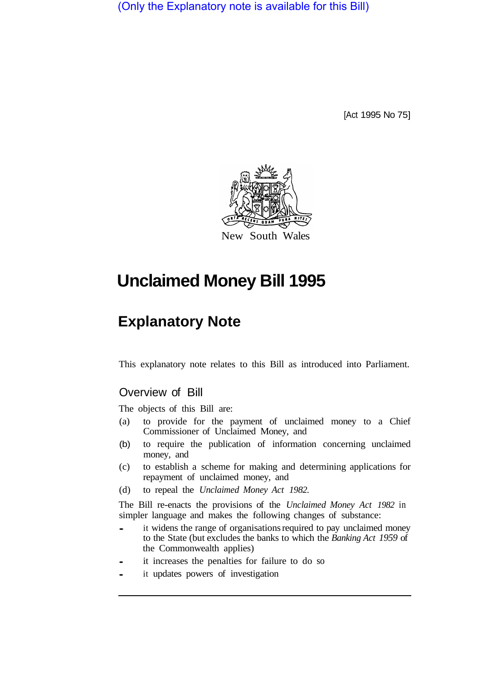(Only the Explanatory note is available for this Bill)

[Act 1995 No 75]



# **Unclaimed Money Bill 1995**

## **Explanatory Note**

This explanatory note relates to this Bill as introduced into Parliament.

## Overview of Bill

The objects of this Bill are:

- (a) to provide for the payment of unclaimed money to a Chief Commissioner of Unclaimed Money, and
- (b) to require the publication of information concerning unclaimed money, and
- (c) to establish a scheme for making and determining applications for repayment of unclaimed money, and
- (d) to repeal the *Unclaimed Money Act 1982.*

The Bill re-enacts the provisions of the *Unclaimed Money Act 1982* in simpler language and makes the following changes of substance:

- it widens the range of organisations required to pay unclaimed money to the State (but excludes the banks to which the *Banking Act 1959* of the Commonwealth applies)
- it increases the penalties for failure to do so
- it updates powers of investigation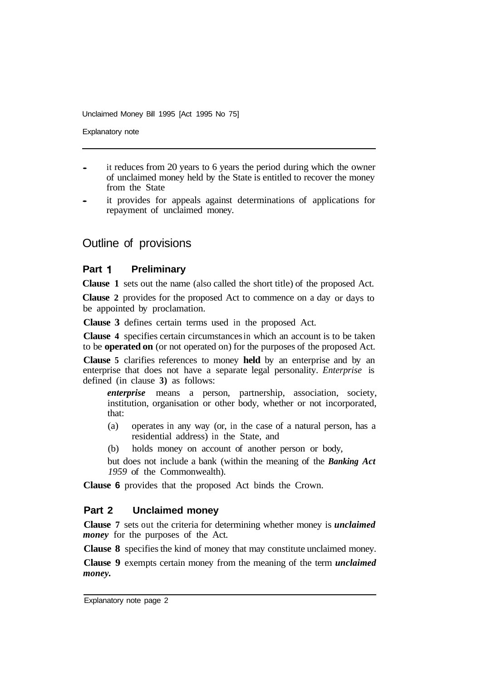Explanatory note

- it reduces from 20 years to 6 years the period during which the owner of unclaimed money held by the State is entitled to recover the money from the State
- it provides for appeals against determinations of applications for repayment of unclaimed money.

## Outline of provisions

#### **Part 1** Preliminary

**Clause 1** sets out the name (also called the short title) of the proposed Act.

**Clause 2** provides for the proposed Act to commence on a day or days to be appointed by proclamation.

**Clause 3** defines certain terms used in the proposed Act.

**Clause 4** specifies certain circumstances in which an account is to be taken to be **operated on** (or not operated on) for the purposes of the proposed Act.

**Clause 5** clarifies references to money **held** by an enterprise and by an enterprise that does not have a separate legal personality. *Enterprise* is defined (in clause **3)** as follows:

*enterprise* means a person, partnership, association, society, institution, organisation or other body, whether or not incorporated, that:

- (a) operates in any way (or, in the case of a natural person, has a residential address) in the State, and
- (b) holds money on account of another person or body,

but does not include a bank (within the meaning of the *Banking Act 1959* of the Commonwealth).

**Clause 6** provides that the proposed Act binds the Crown.

#### **Part 2 Unclaimed money**

**Clause 7** sets out the criteria for determining whether money is *unclaimed money* for the purposes of the Act.

**Clause 8** specifies the kind of money that may constitute unclaimed money.

**Clause 9** exempts certain money from the meaning of the term *unclaimed money.*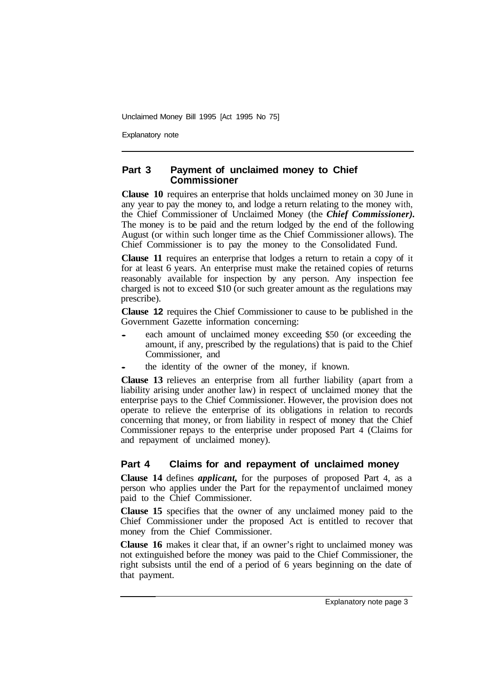Explanatory note

#### **Part 3 Payment of unclaimed money to Chief Commissioner**

**Clause 10** requires an enterprise that holds unclaimed money on 30 June in any year to pay the money to, and lodge a return relating to the money with, the Chief Commissioner of Unclaimed Money (the *Chief Commissioner).*  The money is to be paid and the return lodged by the end of the following August (or within such longer time as the Chief Commissioner allows). The Chief Commissioner is to pay the money to the Consolidated Fund.

**Clause 11** requires an enterprise that lodges a return to retain a copy of it for at least 6 years. An enterprise must make the retained copies of returns reasonably available for inspection by any person. Any inspection fee charged is not to exceed \$10 (or such greater amount as the regulations may prescribe).

**Clause 12** requires the Chief Commissioner to cause to be published in the Government Gazette information concerning:

- each amount of unclaimed money exceeding \$50 (or exceeding the amount, if any, prescribed by the regulations) that is paid to the Chief Commissioner, and
- the identity of the owner of the money, if known.

**Clause 13** relieves an enterprise from all further liability (apart from a liability arising under another law) in respect of unclaimed money that the enterprise pays to the Chief Commissioner. However, the provision does not operate to relieve the enterprise of its obligations in relation to records concerning that money, or from liability in respect of money that the Chief Commissioner repays to the enterprise under proposed Part 4 (Claims for and repayment of unclaimed money).

#### **Part 4 Claims for and repayment of unclaimed money**

**Clause 14** defines *applicant,* for the purposes of proposed Part 4, as a person who applies under the Part for the repayment of unclaimed money paid to the Chief Commissioner.

**Clause 15** specifies that the owner of any unclaimed money paid to the Chief Commissioner under the proposed Act is entitled to recover that money from the Chief Commissioner.

**Clause 16** makes it clear that, if an owner's right to unclaimed money was not extinguished before the money was paid to the Chief Commissioner, the right subsists until the end of a period of 6 years beginning on the date of that payment.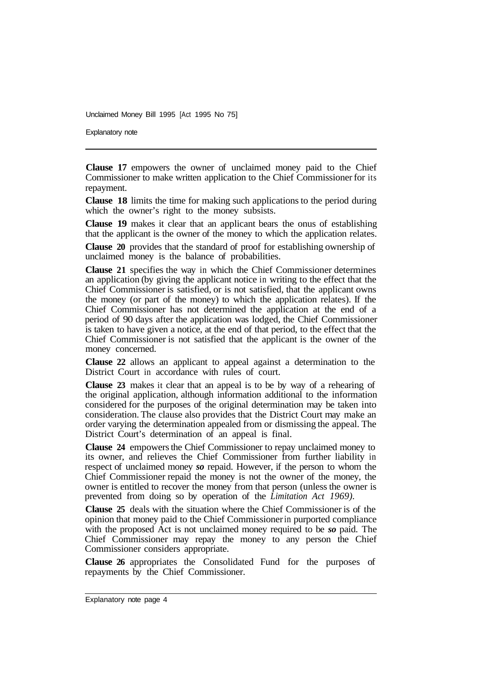Explanatory note

**Clause 17** empowers the owner of unclaimed money paid to the Chief Commissioner to make written application to the Chief Commissioner for its repayment.

**Clause 18** limits the time for making such applications to the period during which the owner's right to the money subsists.

**Clause 19** makes it clear that an applicant bears the onus of establishing that the applicant is the owner of the money to which the application relates.

**Clause 20** provides that the standard of proof for establishing ownership of unclaimed money is the balance of probabilities.

**Clause 21** specifies the way in which the Chief Commissioner determines an application (by giving the applicant notice in writing to the effect that the Chief Commissioner is satisfied, or is not satisfied, that the applicant owns the money (or part of the money) to which the application relates). If the Chief Commissioner has not determined the application at the end of a period of 90 days after the application was lodged, the Chief Commissioner is taken to have given a notice, at the end of that period, to the effect that the Chief Commissioner is not satisfied that the applicant is the owner of the money concerned.

**Clause 22** allows an applicant to appeal against a determination to the District Court in accordance with rules of court.

**Clause 23** makes it clear that an appeal is to be by way of a rehearing of the original application, although information additional to the information considered for the purposes of the original determination may be taken into consideration. The clause also provides that the District Court may make an order varying the determination appealed from or dismissing the appeal. The District Court's determination of an appeal is final.

**Clause 24** empowers the Chief Commissioner to repay unclaimed money to its owner, and relieves the Chief Commissioner from further liability in respect of unclaimed money *so* repaid. However, if the person to whom the Chief Commissioner repaid the money is not the owner of the money, the owner is entitled to recover the money from that person (unless the owner is prevented from doing so by operation of the *Limitation Act 1969).* 

**Clause 25** deals with the situation where the Chief Commissioner is of the opinion that money paid to the Chief Commissioner in purported compliance with the proposed Act is not unclaimed money required to be *so* paid. The Chief Commissioner may repay the money to any person the Chief Commissioner considers appropriate.

**Clause 26** appropriates the Consolidated Fund for the purposes of repayments by the Chief Commissioner.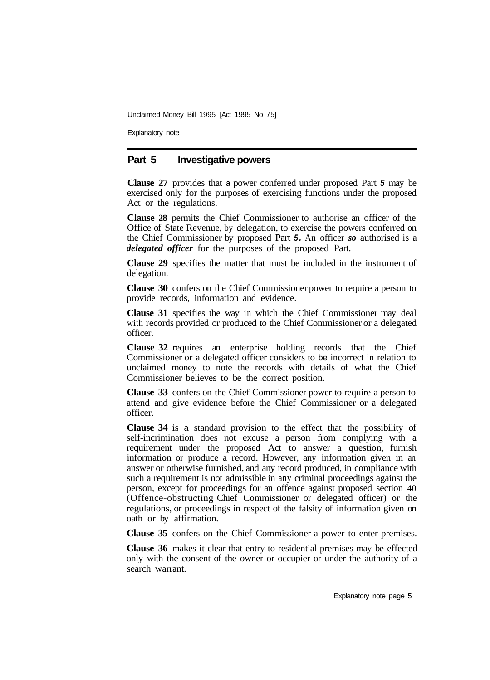Explanatory note

#### **Part 5 Investigative powers**

**Clause 27** provides that a power conferred under proposed Part *5* may be exercised only for the purposes of exercising functions under the proposed Act or the regulations.

**Clause 28** permits the Chief Commissioner to authorise an officer of the Office of State Revenue, by delegation, to exercise the powers conferred on the Chief Commissioner by proposed Part *5.* An officer *so* authorised is a *delegated officer* for the purposes of the proposed Part.

**Clause 29** specifies the matter that must be included in the instrument of delegation.

**Clause 30** confers on the Chief Commissioner power to require a person to provide records, information and evidence.

**Clause 31** specifies the way in which the Chief Commissioner may deal with records provided or produced to the Chief Commissioner or a delegated officer.

**Clause 32** requires an enterprise holding records that the Chief Commissioner or a delegated officer considers to be incorrect in relation to unclaimed money to note the records with details of what the Chief Commissioner believes to be the correct position.

**Clause 33** confers on the Chief Commissioner power to require a person to attend and give evidence before the Chief Commissioner or a delegated officer.

**Clause 34** is a standard provision to the effect that the possibility of self-incrimination does not excuse a person from complying with a requirement under the proposed Act to answer a question, furnish information or produce a record. However, any information given in an answer or otherwise furnished, and any record produced, in compliance with such a requirement is not admissible in any criminal proceedings against the person, except for proceedings for an offence against proposed section 40 (Offence-obstructing Chief Commissioner or delegated officer) or the regulations, or proceedings in respect of the falsity of information given on oath or by affirmation.

**Clause 35** confers on the Chief Commissioner a power to enter premises.

**Clause 36** makes it clear that entry to residential premises may be effected only with the consent of the owner or occupier or under the authority of a search warrant.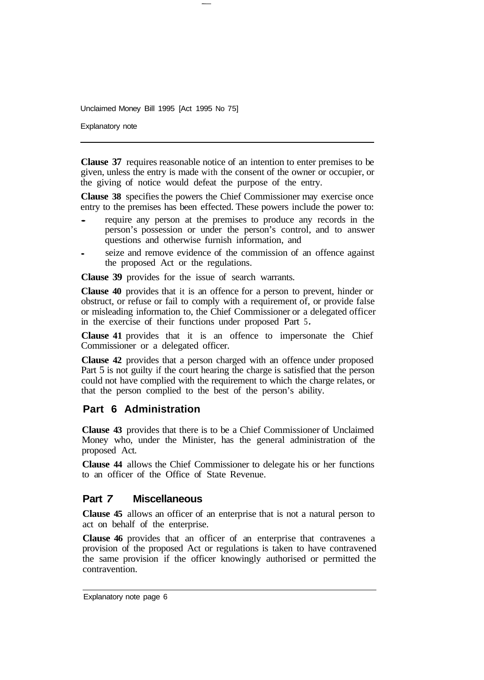Explanatory note

**Clause 37** requires reasonable notice of an intention to enter premises to be given, unless the entry is made with the consent of the owner or occupier, or the giving of notice would defeat the purpose of the entry.

**Clause 38** specifies the powers the Chief Commissioner may exercise once entry to the premises has been effected. These powers include the power to:

- require any person at the premises to produce any records in the person's possession or under the person's control, and to answer questions and otherwise furnish information, and
- seize and remove evidence of the commission of an offence against the proposed Act or the regulations.

**Clause 39** provides for the issue of search warrants.

**Clause 40** provides that it is an offence for a person to prevent, hinder or obstruct, or refuse or fail to comply with a requirement of, or provide false or misleading information to, the Chief Commissioner or a delegated officer in the exercise of their functions under proposed Part 5 *.* 

**Clause 41** provides that it is an offence to impersonate the Chief Commissioner or a delegated officer.

**Clause 42** provides that a person charged with an offence under proposed Part 5 is not guilty if the court hearing the charge is satisfied that the person could not have complied with the requirement to which the charge relates, or that the person complied to the best of the person's ability.

## **Part 6 Administration**

**Clause 43** provides that there is to be a Chief Commissioner of Unclaimed Money who, under the Minister, has the general administration of the proposed Act.

**Clause 44** allows the Chief Commissioner to delegate his or her functions to an officer of the Office of State Revenue.

## **Part** *7* **Miscellaneous**

**Clause 45** allows an officer of an enterprise that is not a natural person to act on behalf of the enterprise.

**Clause 46** provides that an officer of an enterprise that contravenes a provision of the proposed Act or regulations is taken to have contravened the same provision if the officer knowingly authorised or permitted the contravention.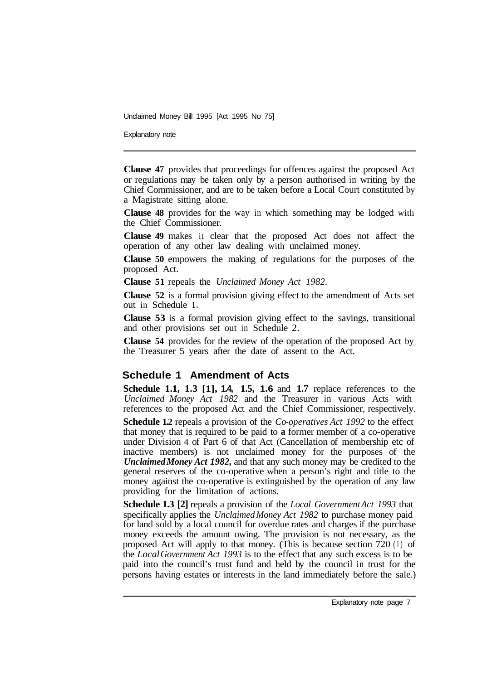Explanatory note

**Clause 47** provides that proceedings for offences against the proposed Act or regulations may be taken only by a person authorised in writing by the Chief Commissioner, and are to be taken before a Local Court constituted by a Magistrate sitting alone.

**Clause 48** provides for the way in which something may be lodged with the Chief Commissioner.

**Clause 49** makes it clear that the proposed Act does not affect the operation of any other law dealing with unclaimed money.

**Clause 50** empowers the making of regulations for the purposes of the proposed Act.

**Clause 51** repeals the *Unclaimed Money Act 1982.* 

**Clause 52** is a formal provision giving effect to the amendment of Acts set out in Schedule **1.** 

**Clause 53** is a formal provision giving effect to the savings, transitional and other provisions set out in Schedule 2.

**Clause 54** provides for the review of the operation of the proposed Act by the Treasurer 5 years after the date of assent to the Act.

#### **Schedule 1 Amendment of Acts**

**Schedule 1.1, 1.3 [1], 1.4, 1.5, 1.6** and **1.7** replace references to the *Unclaimed Money Act 1982* and the Treasurer in various Acts with references to the proposed Act and the Chief Commissioner, respectively.

**Schedule 1.2** repeals a provision of the *Co-operatives Act 1992* to the effect that money that is required to be paid to **a** former member of a co-operative under Division 4 of Part 6 of that Act (Cancellation of membership etc of inactive members) is not unclaimed money for the purposes of the *Unclaimed Money Act 1982,* and that any such money may be credited to the general reserves of the co-operative when a person's right and title to the money against the co-operative is extinguished by the operation of any law providing for the limitation of actions.

**Schedule 1.3 [2]** repeals a provision of the *Local Government Act 1993* that specifically applies the *Unclaimed Money Act 1982* to purchase money paid for land sold by a local council for overdue rates and charges if the purchase money exceeds the amount owing. The provision is not necessary, as the proposed Act will apply to that money. (This is because section 720 (1) of the *Local Government Act 1993* is to the effect that any such excess is to be paid into the council's trust fund and held by the council in trust for the persons having estates or interests in the land immediately before the sale.)